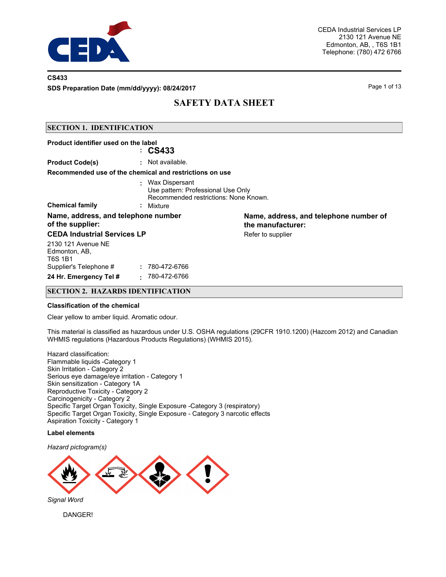

### **CS433**

**SDS Preparation Date (mm/dd/yyyy): 08/24/2017**

Page 1 of 13

# **SAFETY DATA SHEET**

### **SECTION 1. IDENTIFICATION**

| Product identifier used on the label                    | $\approx$ CS433                                                                                              |                                                             |
|---------------------------------------------------------|--------------------------------------------------------------------------------------------------------------|-------------------------------------------------------------|
| <b>Product Code(s)</b>                                  | : Not available.                                                                                             |                                                             |
|                                                         | Recommended use of the chemical and restrictions on use                                                      |                                                             |
| <b>Chemical family</b>                                  | : Wax Dispersant<br>Use pattern: Professional Use Only<br>Recommended restrictions: None Known.<br>: Mixture |                                                             |
| Name, address, and telephone number<br>of the supplier: |                                                                                                              | Name, address, and telephone number of<br>the manufacturer: |
| <b>CEDA Industrial Services LP</b>                      |                                                                                                              | Refer to supplier                                           |
| 2130 121 Avenue NE<br>Edmonton, AB,<br>T6S 1B1          |                                                                                                              |                                                             |
| Supplier's Telephone #                                  | : 780-472-6766                                                                                               |                                                             |
| 24 Hr. Emergency Tel #                                  | 780-472-6766<br>٠.                                                                                           |                                                             |

### **SECTION 2. HAZARDS IDENTIFICATION**

#### **Classification of the chemical**

Clear yellow to amber liquid. Aromatic odour.

This material is classified as hazardous under U.S. OSHA regulations (29CFR 1910.1200) (Hazcom 2012) and Canadian WHMIS regulations (Hazardous Products Regulations) (WHMIS 2015).

Hazard classification: Flammable liquids -Category 1 Skin Irritation - Category 2 Serious eye damage/eye irritation - Category 1 Skin sensitization - Category 1A Reproductive Toxicity - Category 2 Carcinogenicity - Category 2 Specific Target Organ Toxicity, Single Exposure -Category 3 (respiratory) Specific Target Organ Toxicity, Single Exposure - Category 3 narcotic effects Aspiration Toxicity - Category 1

### **Label elements**

*Hazard pictogram(s)*



DANGER!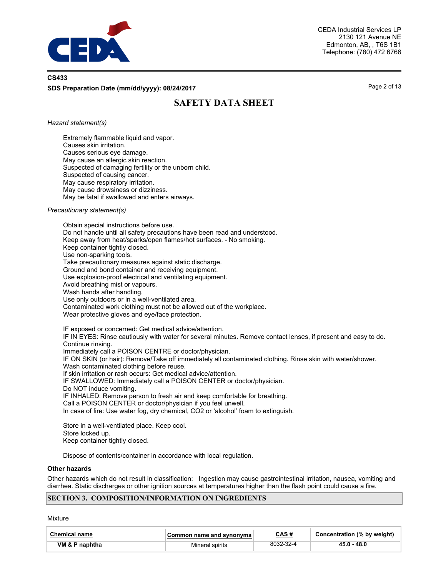

## **CS433 SDS Preparation Date (mm/dd/yyyy): 08/24/2017**

Page 2 of 13

# **SAFETY DATA SHEET**

#### *Hazard statement(s)*

Extremely flammable liquid and vapor. Causes skin irritation. Causes serious eye damage. May cause an allergic skin reaction. Suspected of damaging fertility or the unborn child. Suspected of causing cancer. May cause respiratory irritation. May cause drowsiness or dizziness. May be fatal if swallowed and enters airways.

#### *Precautionary statement(s)*

Obtain special instructions before use. Do not handle until all safety precautions have been read and understood. Keep away from heat/sparks/open flames/hot surfaces. - No smoking. Keep container tightly closed. Use non-sparking tools. Take precautionary measures against static discharge. Ground and bond container and receiving equipment. Use explosion-proof electrical and ventilating equipment. Avoid breathing mist or vapours. Wash hands after handling. Use only outdoors or in a well-ventilated area. Contaminated work clothing must not be allowed out of the workplace. Wear protective gloves and eye/face protection.

IF exposed or concerned: Get medical advice/attention. IF IN EYES: Rinse cautiously with water for several minutes. Remove contact lenses, if present and easy to do. Continue rinsing. Immediately call a POISON CENTRE or doctor/physician. IF ON SKIN (or hair): Remove/Take off immediately all contaminated clothing. Rinse skin with water/shower. Wash contaminated clothing before reuse. If skin irritation or rash occurs: Get medical advice/attention. IF SWALLOWED: Immediately call a POISON CENTER or doctor/physician. Do NOT induce vomiting. IF INHALED: Remove person to fresh air and keep comfortable for breathing. Call a POISON CENTER or doctor/physician if you feel unwell. In case of fire: Use water fog, dry chemical, CO2 or 'alcohol' foam to extinguish. Store in a well-ventilated place. Keep cool.

Store locked up.

Keep container tightly closed.

Dispose of contents/container in accordance with local regulation.

#### **Other hazards**

Other hazards which do not result in classification: Ingestion may cause gastrointestinal irritation, nausea, vomiting and diarrhea. Static discharges or other ignition sources at temperatures higher than the flash point could cause a fire.

#### **SECTION 3. COMPOSITION/INFORMATION ON INGREDIENTS**

**Mixture** 

| <b>Chemical name</b> | Common name and synonyms | CAS#      | Concentration (% by weight) |
|----------------------|--------------------------|-----------|-----------------------------|
| VM & P naphtha       | Mineral spirits          | 8032-32-4 | 45.0 - 48.0                 |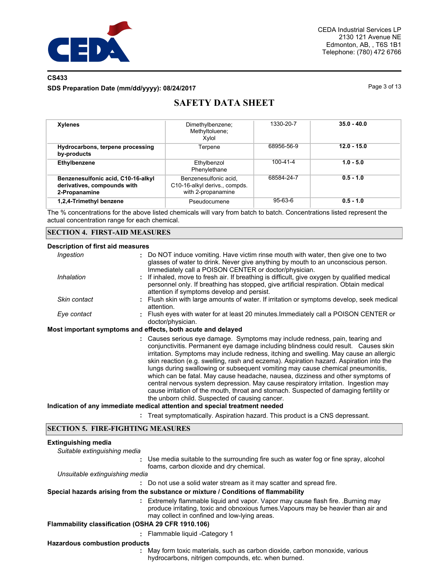

## **CS433**

#### **SDS Preparation Date (mm/dd/yyyy): 08/24/2017**

Page 3 of 13

# **SAFETY DATA SHEET**

| <b>Xylenes</b>                                                                     | Dimethylbenzene;<br>Methyltoluene;<br>Xvlol                                  | 1330-20-7      | $35.0 - 40.0$ |
|------------------------------------------------------------------------------------|------------------------------------------------------------------------------|----------------|---------------|
| Hydrocarbons, terpene processing<br>by-products                                    | Terpene                                                                      | 68956-56-9     | $12.0 - 15.0$ |
| Ethylbenzene                                                                       | Ethylbenzol<br>Phenylethane                                                  | $100 - 41 - 4$ | $1.0 - 5.0$   |
| Benzenesulfonic acid, C10-16-alkyl<br>derivatives, compounds with<br>2-Propanamine | Benzenesulfonic acid.<br>C10-16-alkyl derivs., compds.<br>with 2-propanamine | 68584-24-7     | $0.5 - 1.0$   |
| 1,2,4-Trimethyl benzene                                                            | Pseudocumene                                                                 | $95-63-6$      | $0.5 - 1.0$   |

The % concentrations for the above listed chemicals will vary from batch to batch. Concentrations listed represent the actual concentration range for each chemical.

#### **SECTION 4. FIRST-AID MEASURES**

#### **Description of first aid measures**

| Ingestion    | : Do NOT induce vomiting. Have victim rinse mouth with water, then give one to two<br>glasses of water to drink. Never give anything by mouth to an unconscious person.<br>Immediately call a POISON CENTER or doctor/physician.                                                                                                                      |
|--------------|-------------------------------------------------------------------------------------------------------------------------------------------------------------------------------------------------------------------------------------------------------------------------------------------------------------------------------------------------------|
| Inhalation   | : If inhaled, move to fresh air. If breathing is difficult, give oxygen by qualified medical<br>personnel only. If breathing has stopped, give artificial respiration. Obtain medical<br>attention if symptoms develop and persist.                                                                                                                   |
| Skin contact | : Flush skin with large amounts of water. If irritation or symptoms develop, seek medical<br>attention.                                                                                                                                                                                                                                               |
| Eye contact  | : Flush eyes with water for at least 20 minutes. Immediately call a POISON CENTER or<br>doctor/physician.                                                                                                                                                                                                                                             |
|              | Most important symptoms and effects, both acute and delayed                                                                                                                                                                                                                                                                                           |
|              | : Causes serious eye damage. Symptoms may include redness, pain, tearing and<br>conjunctivitis. Permanent eye damage including blindness could result. Causes skin<br>irritation. Symptoms may include redness, itching and swelling. May cause an allergic<br>skin reaction (e.g. swelling, rash and eczema). Aspiration hazard. Aspiration into the |

lungs during swallowing or subsequent vomiting may cause chemical pneumonitis, which can be fatal. May cause headache, nausea, dizziness and other symptoms of central nervous system depression. May cause respiratory irritation. Ingestion may cause irritation of the mouth, throat and stomach. Suspected of damaging fertility or the unborn child. Suspected of causing cancer.

#### **Indication of any immediate medical attention and special treatment needed**

**:** Treat symptomatically. Aspiration hazard. This product is a CNS depressant.

#### **SECTION 5. FIRE-FIGHTING MEASURES**

| <b>Extinguishing media</b><br>Suitable extinguishing media |                                                                                                                                                                                                                       |
|------------------------------------------------------------|-----------------------------------------------------------------------------------------------------------------------------------------------------------------------------------------------------------------------|
|                                                            | : Use media suitable to the surrounding fire such as water fog or fine spray, alcohol<br>foams, carbon dioxide and dry chemical.                                                                                      |
| Unsuitable extinguishing media                             |                                                                                                                                                                                                                       |
|                                                            | : Do not use a solid water stream as it may scatter and spread fire.                                                                                                                                                  |
|                                                            | Special hazards arising from the substance or mixture / Conditions of flammability                                                                                                                                    |
|                                                            | : Extremely flammable liquid and vapor. Vapor may cause flash fire. Burning may<br>produce irritating, toxic and obnoxious fumes. Vapours may be heavier than air and<br>may collect in confined and low-lying areas. |
| Flammability classification (OSHA 29 CFR 1910.106)         |                                                                                                                                                                                                                       |
|                                                            | : Flammable liquid - Category 1                                                                                                                                                                                       |
| <b>Hazardous combustion products</b>                       |                                                                                                                                                                                                                       |
|                                                            | May form toxic materials, such as carbon dioxide, carbon monoxide, various<br>hydrocarbons, nitrigen compounds, etc. when burned.                                                                                     |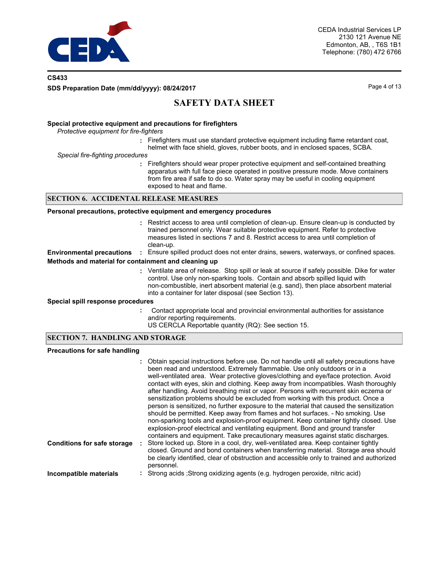

## **CS433 SDS Preparation Date (mm/dd/yyyy): 08/24/2017**

Page 4 of 13

## **SAFETY DATA SHEET**

#### **Special protective equipment and precautions for firefighters**

*Protective equipment for fire-fighters*

**:** Firefighters must use standard protective equipment including flame retardant coat, helmet with face shield, gloves, rubber boots, and in enclosed spaces, SCBA.

*Special fire-fighting procedures*

**:** Firefighters should wear proper protective equipment and self-contained breathing apparatus with full face piece operated in positive pressure mode. Move containers from fire area if safe to do so. Water spray may be useful in cooling equipment exposed to heat and flame.

#### **SECTION 6. ACCIDENTAL RELEASE MEASURES**

| Personal precautions, protective equipment and emergency procedures |  |  |  |  |
|---------------------------------------------------------------------|--|--|--|--|
|---------------------------------------------------------------------|--|--|--|--|

|                                                      | : Restrict access to area until completion of clean-up. Ensure clean-up is conducted by<br>trained personnel only. Wear suitable protective equipment. Refer to protective<br>measures listed in sections 7 and 8. Restrict access to area until completion of<br>clean-up.                                                   |
|------------------------------------------------------|-------------------------------------------------------------------------------------------------------------------------------------------------------------------------------------------------------------------------------------------------------------------------------------------------------------------------------|
| <b>Environmental precautions</b>                     | : Ensure spilled product does not enter drains, sewers, waterways, or confined spaces.                                                                                                                                                                                                                                        |
| Methods and material for containment and cleaning up |                                                                                                                                                                                                                                                                                                                               |
|                                                      | : Ventilate area of release. Stop spill or leak at source if safely possible. Dike for water<br>control. Use only non-sparking tools. Contain and absorb spilled liquid with<br>non-combustible, inert absorbent material (e.g. sand), then place absorbent material<br>into a container for later disposal (see Section 13). |
| Special spill response procedures                    |                                                                                                                                                                                                                                                                                                                               |
|                                                      | Contact appropriate local and provincial environmental authorities for assistance                                                                                                                                                                                                                                             |

- and/or reporting requirements.
- US CERCLA Reportable quantity (RQ): See section 15.

## **SECTION 7. HANDLING AND STORAGE**

#### **Precautions for safe handling**

|                                    | : Obtain special instructions before use. Do not handle until all safety precautions have<br>been read and understood. Extremely flammable. Use only outdoors or in a<br>well-ventilated area. Wear protective gloves/clothing and eye/face protection. Avoid<br>contact with eyes, skin and clothing. Keep away from incompatibles. Wash thoroughly<br>after handling. Avoid breathing mist or vapor. Persons with recurrent skin eczema or<br>sensitization problems should be excluded from working with this product. Once a<br>person is sensitized, no further exposure to the material that caused the sensitization<br>should be permitted. Keep away from flames and hot surfaces. - No smoking. Use<br>non-sparking tools and explosion-proof equipment. Keep container tightly closed. Use<br>explosion-proof electrical and ventilating equipment. Bond and ground transfer<br>containers and equipment. Take precautionary measures against static discharges. |
|------------------------------------|-----------------------------------------------------------------------------------------------------------------------------------------------------------------------------------------------------------------------------------------------------------------------------------------------------------------------------------------------------------------------------------------------------------------------------------------------------------------------------------------------------------------------------------------------------------------------------------------------------------------------------------------------------------------------------------------------------------------------------------------------------------------------------------------------------------------------------------------------------------------------------------------------------------------------------------------------------------------------------|
| <b>Conditions for safe storage</b> | Store locked up. Store in a cool, dry, well-ventilated area. Keep container tightly<br>closed. Ground and bond containers when transferring material. Storage area should<br>be clearly identified, clear of obstruction and accessible only to trained and authorized<br>personnel.                                                                                                                                                                                                                                                                                                                                                                                                                                                                                                                                                                                                                                                                                        |
| Incompatible materials             | Strong acids ; Strong oxidizing agents (e.g. hydrogen peroxide, nitric acid)                                                                                                                                                                                                                                                                                                                                                                                                                                                                                                                                                                                                                                                                                                                                                                                                                                                                                                |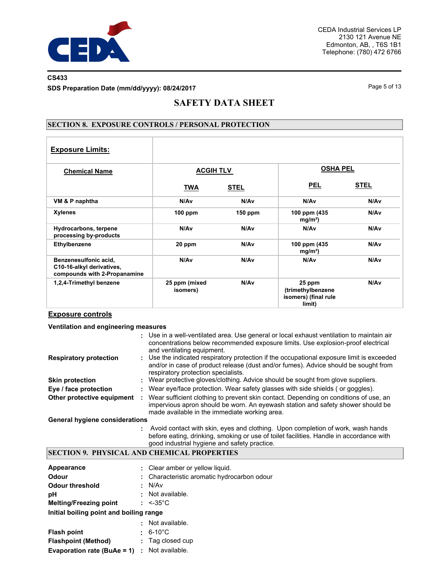

## **CS433**

**SDS Preparation Date (mm/dd/yyyy): 08/24/2017**

Page 5 of 13

## **SAFETY DATA SHEET**

### **SECTION 8. EXPOSURE CONTROLS / PERSONAL PROTECTION**

| <b>Exposure Limits:</b>                                                            |                           |             |                                                               |             |
|------------------------------------------------------------------------------------|---------------------------|-------------|---------------------------------------------------------------|-------------|
| <b>Chemical Name</b>                                                               | <b>ACGIH TLV</b>          |             | <b>OSHA PEL</b>                                               |             |
|                                                                                    | <b>TWA</b>                | <b>STEL</b> | <b>PEL</b>                                                    | <b>STEL</b> |
| VM & P naphtha                                                                     | N/Av                      | N/Av        | N/Av                                                          | N/Av        |
| <b>Xylenes</b>                                                                     | $100$ ppm                 | $150$ ppm   | 100 ppm (435<br>mg/m <sup>3</sup>                             | N/Av        |
| Hydrocarbons, terpene<br>processing by-products                                    | N/Av                      | N/Av        | N/Av                                                          | N/Av        |
| Ethylbenzene                                                                       | 20 ppm                    | N/Av        | 100 ppm (435)<br>mg/m <sup>3</sup>                            | N/Av        |
| Benzenesulfonic acid,<br>C10-16-alkyl derivatives,<br>compounds with 2-Propanamine | N/Av                      | N/Av        | N/Av                                                          | N/Av        |
| 1,2,4-Trimethyl benzene                                                            | 25 ppm (mixed<br>isomers) | N/Av        | 25 ppm<br>(trimethylbenzene<br>isomers) (final rule<br>limit) | N/Av        |

## **Exposure controls**

#### **Ventilation and engineering measures**

|                                       |   | : Use in a well-ventilated area. Use general or local exhaust ventilation to maintain air<br>concentrations below recommended exposure limits. Use explosion-proof electrical<br>and ventilating equipment.                |
|---------------------------------------|---|----------------------------------------------------------------------------------------------------------------------------------------------------------------------------------------------------------------------------|
| <b>Respiratory protection</b>         |   | : Use the indicated respiratory protection if the occupational exposure limit is exceeded<br>and/or in case of product release (dust and/or fumes). Advice should be sought from<br>respiratory protection specialists.    |
| <b>Skin protection</b>                |   | Wear protective gloves/clothing. Advice should be sought from glove suppliers.                                                                                                                                             |
| Eye / face protection                 |   | : Wear eye/face protection. Wear safety glasses with side shields (or goggles).                                                                                                                                            |
| Other protective equipment            | ÷ | Wear sufficient clothing to prevent skin contact. Depending on conditions of use, an<br>impervious apron should be worn. An eyewash station and safety shower should be<br>made available in the immediate working area.   |
| <b>General hygiene considerations</b> |   |                                                                                                                                                                                                                            |
|                                       |   | Avoid contact with skin, eyes and clothing. Upon completion of work, wash hands<br>before eating, drinking, smoking or use of toilet facilities. Handle in accordance with<br>good industrial hygiene and safety practice. |

## **SECTION 9. PHYSICAL AND CHEMICAL PROPERTIES**

| Appearance                              |      | : Clear amber or yellow liquid.             |
|-----------------------------------------|------|---------------------------------------------|
| <b>Odour</b>                            |      | : Characteristic aromatic hydrocarbon odour |
| <b>Odour threshold</b>                  |      | : N/Av                                      |
| рH                                      |      | : Not available.                            |
| <b>Melting/Freezing point</b>           |      | $: < -35^{\circ}$ C                         |
| Initial boiling point and boiling range |      |                                             |
|                                         | ٠    | Not available.                              |
| <b>Flash point</b>                      |      | $\cdot$ 6-10°C                              |
| <b>Flashpoint (Method)</b>              | ÷    | Tag closed cup                              |
| Evaporation rate (BuAe = 1)             | - 11 | Not available.                              |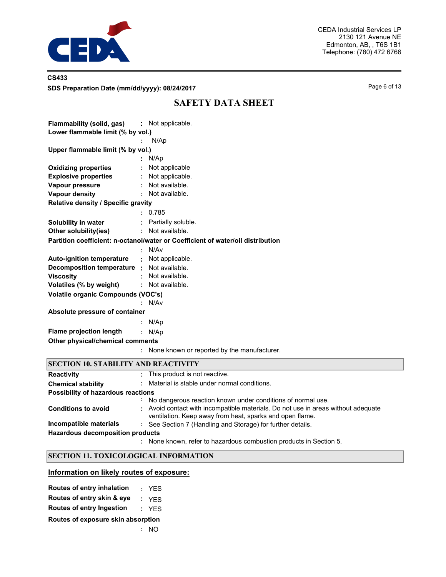

## **CS433 SDS Preparation Date (mm/dd/yyyy): 08/24/2017** Page 6 of 13

## **SAFETY DATA SHEET**

| <b>Flammability (solid, gas) :</b> Not applicable.                              |                      |  |  |  |  |
|---------------------------------------------------------------------------------|----------------------|--|--|--|--|
| Lower flammable limit (% by vol.)                                               |                      |  |  |  |  |
|                                                                                 | N/Ap                 |  |  |  |  |
| Upper flammable limit (% by vol.)                                               |                      |  |  |  |  |
|                                                                                 | : N/Ap               |  |  |  |  |
| <b>Oxidizing properties</b>                                                     | : Not applicable     |  |  |  |  |
| <b>Explosive properties</b>                                                     | : Not applicable.    |  |  |  |  |
| Vapour pressure                                                                 | : Not available.     |  |  |  |  |
| <b>Vapour density</b>                                                           | : Not available.     |  |  |  |  |
| Relative density / Specific gravity                                             |                      |  |  |  |  |
|                                                                                 | : 0.785              |  |  |  |  |
| <b>Solubility in water</b>                                                      | : Partially soluble. |  |  |  |  |
| Other solubility(ies)                                                           | : Not available.     |  |  |  |  |
| Partition coefficient: n-octanol/water or Coefficient of water/oil distribution |                      |  |  |  |  |
|                                                                                 | : N/Av               |  |  |  |  |
| <b>Auto-ignition temperature :</b> Not applicable.                              |                      |  |  |  |  |
| Decomposition temperature : Not available.                                      |                      |  |  |  |  |
| <b>Viscosity</b>                                                                | : Not available.     |  |  |  |  |
| Volatiles (% by weight)                                                         | : Not available.     |  |  |  |  |
| Volatile organic Compounds (VOC's)                                              |                      |  |  |  |  |
|                                                                                 | N/Av                 |  |  |  |  |
| Absolute pressure of container                                                  |                      |  |  |  |  |
|                                                                                 | : N/Ap               |  |  |  |  |
| <b>Flame projection length</b>                                                  | : N/AD               |  |  |  |  |
| Other physical/chemical comments                                                |                      |  |  |  |  |
|                                                                                 |                      |  |  |  |  |

**:** None known or reported by the manufacturer.

## **SECTION 10. STABILITY AND REACTIVITY**

| <b>Reactivity</b>                       | : This product is not reactive.                                                                                                               |
|-----------------------------------------|-----------------------------------------------------------------------------------------------------------------------------------------------|
| <b>Chemical stability</b>               | : Material is stable under normal conditions.                                                                                                 |
| Possibility of hazardous reactions      |                                                                                                                                               |
|                                         | No dangerous reaction known under conditions of normal use.                                                                                   |
| <b>Conditions to avoid</b>              | : Avoid contact with incompatible materials. Do not use in areas without adequate<br>ventilation. Keep away from heat, sparks and open flame. |
| Incompatible materials                  | : See Section 7 (Handling and Storage) for further details.                                                                                   |
| <b>Hazardous decomposition products</b> |                                                                                                                                               |
|                                         | : None known, refer to hazardous combustion products in Section 5.                                                                            |

## **SECTION 11. TOXICOLOGICAL INFORMATION**

## **Information on likely routes of exposure:**

| Routes of entry inhalation         |  | : YES |  |  |  |  |  |
|------------------------------------|--|-------|--|--|--|--|--|
| Routes of entry skin & eye         |  | : YFS |  |  |  |  |  |
| <b>Routes of entry Ingestion</b>   |  | : YES |  |  |  |  |  |
| Routes of exposure skin absorption |  |       |  |  |  |  |  |
|                                    |  | : NO  |  |  |  |  |  |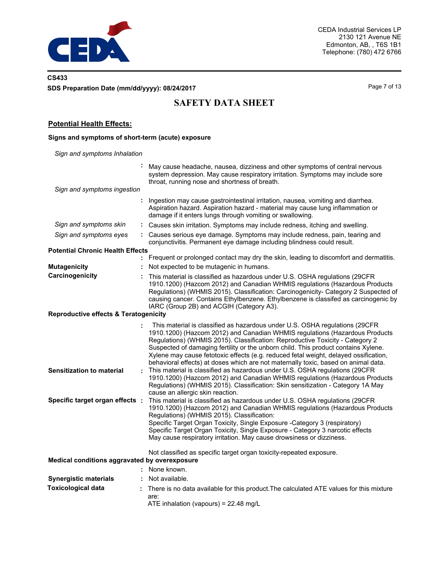

## **CS433 SDS Preparation Date (mm/dd/yyyy): 08/24/2017**

Page 7 of 13

# **SAFETY DATA SHEET**

## **Potential Health Effects:**

#### **Signs and symptoms of short-term (acute) exposure**

**:** *Sign and symptoms Inhalation* May cause headache, nausea, dizziness and other symptoms of central nervous system depression. May cause respiratory irritation. Symptoms may include sore throat, running nose and shortness of breath. **:** Ingestion may cause gastrointestinal irritation, nausea, vomiting and diarrhea. *Sign and symptoms ingestion* Aspiration hazard. Aspiration hazard - material may cause lung inflammation or damage if it enters lungs through vomiting or swallowing. *Sign and symptoms skin* **:** Causes skin irritation. Symptoms may include redness, itching and swelling. *Sign and symptoms eyes* **:** Causes serious eye damage. Symptoms may include redness, pain, tearing and conjunctivitis. Permanent eye damage including blindness could result. **:** Frequent or prolonged contact may dry the skin, leading to discomfort and dermatitis. **Potential Chronic Health Effects Mutagenicity :** Not expected to be mutagenic in humans. **Carcinogenicity :** This material is classified as hazardous under U.S. OSHA regulations (29CFR 1910.1200) (Hazcom 2012) and Canadian WHMIS regulations (Hazardous Products Regulations) (WHMIS 2015). Classification: Carcinogenicity- Category 2 Suspected of causing cancer. Contains Ethylbenzene. Ethylbenzene is classifed as carcinogenic by IARC (Group 2B) and ACGIH (Category A3). **Reproductive effects & Teratogenicity :** This material is classified as hazardous under U.S. OSHA regulations (29CFR 1910.1200) (Hazcom 2012) and Canadian WHMIS regulations (Hazardous Products Regulations) (WHMIS 2015). Classification: Reproductive Toxicity - Category 2 Suspected of damaging fertility or the unborn child. This product contains Xylene. Xylene may cause fetotoxic effects (e.g. reduced fetal weight, delayed ossification, behavioral effects) at doses which are not maternally toxic, based on animal data. **Sensitization to material :** This material is classified as hazardous under U.S. OSHA regulations (29CFR 1910.1200) (Hazcom 2012) and Canadian WHMIS regulations (Hazardous Products Regulations) (WHMIS 2015). Classification: Skin sensitization - Category 1A May cause an allergic skin reaction. **Specific target organ effects :** This material is classified as hazardous under U.S. OSHA regulations (29CFR 1910.1200) (Hazcom 2012) and Canadian WHMIS regulations (Hazardous Products Regulations) (WHMIS 2015). Classification: Specific Target Organ Toxicity, Single Exposure -Category 3 (respiratory) Specific Target Organ Toxicity, Single Exposure - Category 3 narcotic effects May cause respiratory irritation. May cause drowsiness or dizziness. Not classified as specific target organ toxicity-repeated exposure. **Medical conditions aggravated by overexposure :** None known. **Synergistic materials : Not available.** There is no data available for this product.The calculated ATE values for this mixture are: ATE inhalation (vapours) = 22.48 mg/L **Toxicological data :**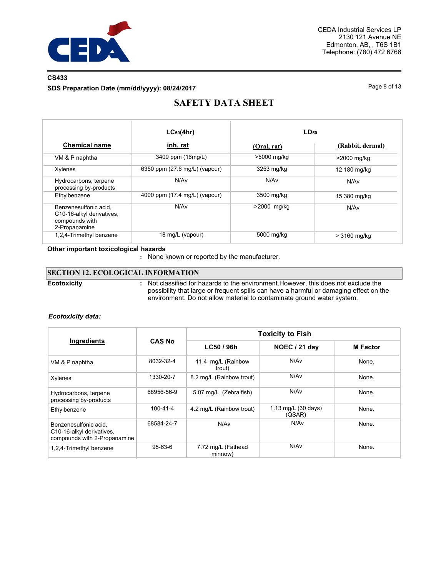

## **CS433**

**SDS Preparation Date (mm/dd/yyyy): 08/24/2017**

Page 8 of 13

# **SAFETY DATA SHEET**

|                                                                                       | $LC_{50}(4hr)$                | LD <sub>50</sub> |                  |  |  |
|---------------------------------------------------------------------------------------|-------------------------------|------------------|------------------|--|--|
| <b>Chemical name</b>                                                                  | inh, rat                      | (Oral, rat)      | (Rabbit, dermal) |  |  |
| VM & P naphtha                                                                        | 3400 ppm (16mg/L)             | >5000 mg/kg      | >2000 mg/kg      |  |  |
| Xylenes                                                                               | 6350 ppm (27.6 mg/L) (vapour) | 3253 mg/kg       | 12 180 mg/kg     |  |  |
| Hydrocarbons, terpene<br>processing by-products                                       | N/Av                          | N/Av             | N/Av             |  |  |
| Ethylbenzene                                                                          | 4000 ppm (17.4 mg/L) (vapour) | 3500 mg/kg       | 15 380 mg/kg     |  |  |
| Benzenesulfonic acid.<br>C10-16-alkyl derivatives,<br>compounds with<br>2-Propanamine | N/Av                          | >2000 mg/kg      | N/Av             |  |  |
| 1,2,4-Trimethyl benzene                                                               | 18 mg/L (vapour)              | 5000 mg/kg       | > 3160 mg/kg     |  |  |

### **Other important toxicologica**l **hazards**

**:** None known or reported by the manufacturer.

## **SECTION 12. ECOLOGICAL INFORMATION**

**Ecotoxicity :**

Not classified for hazards to the environment.However, this does not exclude the possibility that large or frequent spills can have a harmful or damaging effect on the environment. Do not allow material to contaminate ground water system.

#### *Ecotoxicity data:*

|                                                                                    |                | <b>Toxicity to Fish</b>       |                               |                 |  |  |  |
|------------------------------------------------------------------------------------|----------------|-------------------------------|-------------------------------|-----------------|--|--|--|
| Ingredients                                                                        | <b>CAS No</b>  | LC50 / 96h                    | <b>NOEC / 21 day</b>          | <b>M</b> Factor |  |  |  |
| VM & P naphtha                                                                     | 8032-32-4      | 11.4 mg/L (Rainbow<br>trout)  | N/A <sub>v</sub>              | None.           |  |  |  |
| Xylenes                                                                            | 1330-20-7      | 8.2 mg/L (Rainbow trout)      | N/Av                          | None.           |  |  |  |
| Hydrocarbons, terpene<br>processing by-products                                    | 68956-56-9     | 5.07 mg/L (Zebra fish)        | N/Av                          | None.           |  |  |  |
| Ethylbenzene                                                                       | $100 - 41 - 4$ | 4.2 mg/L (Rainbow trout)      | 1.13 mg/L (30 days)<br>(QSAR) | None.           |  |  |  |
| Benzenesulfonic acid.<br>C10-16-alkyl derivatives.<br>compounds with 2-Propanamine | 68584-24-7     | N/A <sub>v</sub>              | N/A <sub>v</sub>              | None.           |  |  |  |
| 1,2,4-Trimethyl benzene                                                            | 95-63-6        | 7.72 mg/L (Fathead<br>minnow) | N/A <sub>v</sub>              | None.           |  |  |  |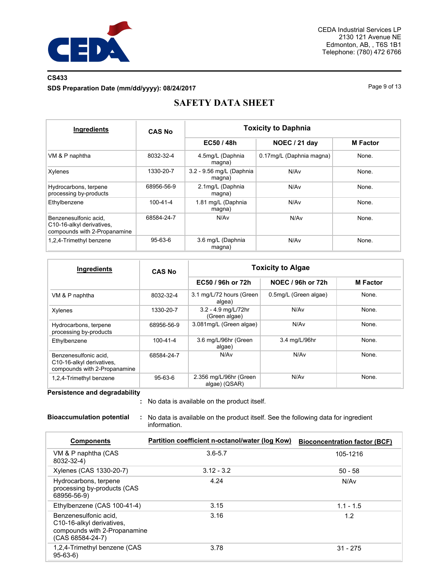

## **CS433**

**SDS Preparation Date (mm/dd/yyyy): 08/24/2017**

Page 9 of 13

# **SAFETY DATA SHEET**

| Ingredients                                                                        | <b>CAS No</b>  | <b>Toxicity to Daphnia</b>         |                          |                 |  |  |
|------------------------------------------------------------------------------------|----------------|------------------------------------|--------------------------|-----------------|--|--|
|                                                                                    |                | EC50 / 48h                         | NOEC / 21 day            | <b>M</b> Factor |  |  |
| VM & P naphtha                                                                     | 8032-32-4      | 4.5mg/L (Daphnia<br>magna)         | 0.17mg/L (Daphnia magna) | None.           |  |  |
| Xylenes                                                                            | 1330-20-7      | 3.2 - 9.56 mg/L (Daphnia<br>magna) | N/Av                     | None.           |  |  |
| Hydrocarbons, terpene<br>processing by-products                                    | 68956-56-9     | 2.1mg/L (Daphnia<br>magna)         | N/Av                     | None.           |  |  |
| Ethylbenzene                                                                       | $100 - 41 - 4$ | 1.81 mg/L (Daphnia<br>magna)       | N/Av                     | None.           |  |  |
| Benzenesulfonic acid.<br>C10-16-alkyl derivatives,<br>compounds with 2-Propanamine | 68584-24-7     | N/Av                               | N/Av                     | None.           |  |  |
| 1,2,4-Trimethyl benzene                                                            | $95 - 63 - 6$  | 3.6 mg/L (Daphnia<br>magna)        | N/Av                     | None.           |  |  |

| Ingredients                                                                        | <b>CAS No</b>  | <b>Toxicity to Algae</b>                |                       |                 |  |
|------------------------------------------------------------------------------------|----------------|-----------------------------------------|-----------------------|-----------------|--|
|                                                                                    |                | EC50 / 96h or 72h                       | NOEC / 96h or 72h     | <b>M</b> Factor |  |
| VM & P naphtha                                                                     | 8032-32-4      | 3.1 mg/L/72 hours (Green<br>algea)      | 0.5mg/L (Green algae) | None.           |  |
| Xylenes                                                                            | 1330-20-7      | 3.2 - 4.9 mg/L/72hr<br>(Green algae)    | N/Av                  | None.           |  |
| Hydrocarbons, terpene<br>processing by-products                                    | 68956-56-9     | 3.081mg/L (Green algae)                 | N/A <sub>v</sub>      | None.           |  |
| Ethylbenzene                                                                       | $100 - 41 - 4$ | 3.6 mg/L/96hr (Green<br>algae)          | 3.4 mg/L/96hr         | None.           |  |
| Benzenesulfonic acid,<br>C10-16-alkyl derivatives,<br>compounds with 2-Propanamine | 68584-24-7     | N/Av                                    | N/Av                  | None.           |  |
| 1,2,4-Trimethyl benzene                                                            | 95-63-6        | 2.356 mg/L/96hr (Green<br>algae) (QSAR) | N/Av                  | None.           |  |

**Persistence and degradability**

No data is available on the product itself. **:**

**Bioaccumulation potential :** No data is available on the product itself. See the following data for ingredient information.

| <b>Components</b>                                                                                        | Partition coefficient n-octanol/water (log Kow) | <b>Bioconcentration factor (BCF)</b> |
|----------------------------------------------------------------------------------------------------------|-------------------------------------------------|--------------------------------------|
| VM & P naphtha (CAS<br>8032-32-4)                                                                        | $3.6 - 5.7$                                     | 105-1216                             |
| Xylenes (CAS 1330-20-7)                                                                                  | $3.12 - 3.2$                                    | $50 - 58$                            |
| Hydrocarbons, terpene<br>processing by-products (CAS<br>68956-56-9)                                      | 4.24                                            | N/Av                                 |
| Ethylbenzene (CAS 100-41-4)                                                                              | 3.15                                            | $1.1 - 1.5$                          |
| Benzenesulfonic acid.<br>C10-16-alkyl derivatives,<br>compounds with 2-Propanamine<br>$(CAS 68584-24-7)$ | 3.16                                            | 1.2                                  |
| 1,2,4-Trimethyl benzene (CAS<br>$95-63-6$                                                                | 3.78                                            | $31 - 275$                           |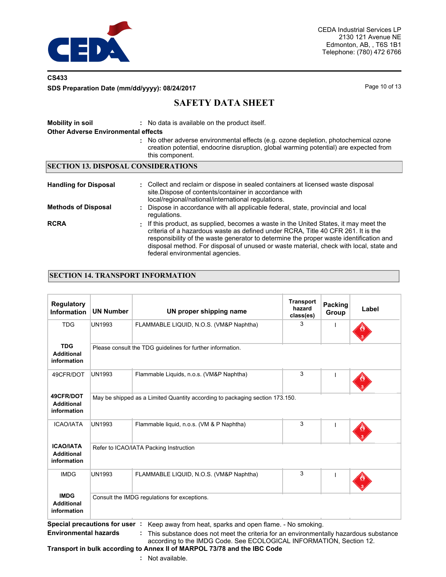

## **CS433**

**SDS Preparation Date (mm/dd/yyyy): 08/24/2017** Page 10 of 13

## **SAFETY DATA SHEET**

| <b>Mobility in soil</b><br><b>Other Adverse Environmental effects</b> | : No data is available on the product itself.<br>: No other adverse environmental effects (e.g. ozone depletion, photochemical ozone<br>creation potential, endocrine disruption, global warming potential) are expected from<br>this component.                                                                                                                                                 |  |  |  |  |  |  |
|-----------------------------------------------------------------------|--------------------------------------------------------------------------------------------------------------------------------------------------------------------------------------------------------------------------------------------------------------------------------------------------------------------------------------------------------------------------------------------------|--|--|--|--|--|--|
| <b>SECTION 13. DISPOSAL CONSIDERATIONS</b>                            |                                                                                                                                                                                                                                                                                                                                                                                                  |  |  |  |  |  |  |
| <b>Handling for Disposal</b>                                          | : Collect and reclaim or dispose in sealed containers at licensed waste disposal<br>site. Dispose of contents/container in accordance with<br>local/regional/national/international regulations.                                                                                                                                                                                                 |  |  |  |  |  |  |
| <b>Methods of Disposal</b>                                            | : Dispose in accordance with all applicable federal, state, provincial and local<br>regulations.                                                                                                                                                                                                                                                                                                 |  |  |  |  |  |  |
| <b>RCRA</b>                                                           | : If this product, as supplied, becomes a waste in the United States, it may meet the<br>criteria of a hazardous waste as defined under RCRA. Title 40 CFR 261. It is the<br>responsibility of the waste generator to determine the proper waste identification and<br>disposal method. For disposal of unused or waste material, check with local, state and<br>federal environmental agencies. |  |  |  |  |  |  |

## **SECTION 14. TRANSPORT INFORMATION**

| <b>Regulatory</b><br><b>Information</b>              | <b>UN Number</b>                                                             | UN proper shipping name                      | <b>Transport</b><br>hazard<br>class(es) | Packing<br>Group | Label |  |  |
|------------------------------------------------------|------------------------------------------------------------------------------|----------------------------------------------|-----------------------------------------|------------------|-------|--|--|
| <b>TDG</b>                                           | UN1993                                                                       | FLAMMABLE LIQUID, N.O.S. (VM&P Naphtha)      | 3                                       |                  |       |  |  |
| <b>TDG</b><br><b>Additional</b><br>information       | Please consult the TDG guidelines for further information.                   |                                              |                                         |                  |       |  |  |
| 49CFR/DOT                                            | <b>UN1993</b>                                                                | Flammable Liquids, n.o.s. (VM&P Naphtha)     | 3                                       |                  |       |  |  |
| 49CFR/DOT<br><b>Additional</b><br>information        | May be shipped as a Limited Quantity according to packaging section 173.150. |                                              |                                         |                  |       |  |  |
| <b>ICAO/IATA</b>                                     | UN1993                                                                       | Flammable liquid, n.o.s. (VM & P Naphtha)    | 3                                       |                  |       |  |  |
| <b>ICAO/IATA</b><br><b>Additional</b><br>information | Refer to ICAO/IATA Packing Instruction                                       |                                              |                                         |                  |       |  |  |
| <b>IMDG</b>                                          | <b>UN1993</b>                                                                | FLAMMABLE LIQUID, N.O.S. (VM&P Naphtha)      | 3                                       |                  |       |  |  |
| <b>IMDG</b><br><b>Additional</b><br>information      |                                                                              | Consult the IMDG regulations for exceptions. |                                         |                  |       |  |  |

**Special precautions for user :** Keep away from heat, sparks and open flame. - No smoking. **Environmental hazards : This substance does not meet the criteria for an environmentally hazardous substance** 

# according to the IMDG Code. See ECOLOGICAL INFORMATION, Section 12.

## **Transport in bulk according to Annex II of MARPOL 73/78 and the IBC Code**

**:** Not available.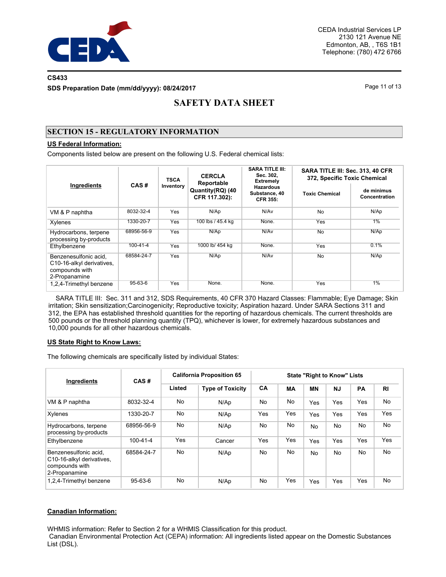

### **CS433**

**SDS Preparation Date (mm/dd/yyyy): 08/24/2017**

Page 11 of 13

# **SAFETY DATA SHEET**

## **SECTION 15 - REGULATORY INFORMATION**

## **US Federal Information:**

Components listed below are present on the following U.S. Federal chemical lists:

| Ingredients                                                                           |               | <b>TSCA</b> | <b>CERCLA</b><br>Reportable       | <b>SARA TITLE III:</b><br>Sec. 302,<br><b>Extremely</b> | SARA TITLE III: Sec. 313, 40 CFR<br>372, Specific Toxic Chemical |                             |  |
|---------------------------------------------------------------------------------------|---------------|-------------|-----------------------------------|---------------------------------------------------------|------------------------------------------------------------------|-----------------------------|--|
|                                                                                       | CAS#          | Inventory   | Quantity(RQ) (40<br>CFR 117.302): | <b>Hazardous</b><br>Substance, 40<br><b>CFR 355:</b>    | <b>Toxic Chemical</b>                                            | de minimus<br>Concentration |  |
| VM & P naphtha                                                                        | 8032-32-4     | Yes         | N/Ap                              | N/Av                                                    | <b>No</b>                                                        | N/Ap                        |  |
| Xylenes                                                                               | 1330-20-7     | Yes         | 100 lbs / 45.4 kg                 | None.                                                   | Yes                                                              | $1\%$                       |  |
| Hydrocarbons, terpene<br>processing by-products                                       | 68956-56-9    | Yes         | N/Ap                              | N/Av                                                    | <b>No</b>                                                        | N/Ap                        |  |
| Ethylbenzene                                                                          | 100-41-4      | Yes         | 1000 lb/ 454 kg                   | None.                                                   | Yes                                                              | 0.1%                        |  |
| Benzenesulfonic acid.<br>C10-16-alkyl derivatives.<br>compounds with<br>2-Propanamine | 68584-24-7    | Yes         | N/Ap                              | N/Av                                                    | No                                                               | N/Ap                        |  |
| 1,2,4-Trimethyl benzene                                                               | $95 - 63 - 6$ | Yes         | None.                             | None.                                                   | Yes                                                              | $1\%$                       |  |

 SARA TITLE III: Sec. 311 and 312, SDS Requirements, 40 CFR 370 Hazard Classes: Flammable; Eye Damage; Skin irritation; Skin sensitization;Carcinogenicity; Reproductive toxicity; Aspiration hazard. Under SARA Sections 311 and 312, the EPA has established threshold quantities for the reporting of hazardous chemicals. The current thresholds are 500 pounds or the threshold planning quantity (TPQ), whichever is lower, for extremely hazardous substances and 10,000 pounds for all other hazardous chemicals.

#### **US State Right to Know Laws:**

The following chemicals are specifically listed by individual States:

| Ingredients                                                                           | CAS#           | <b>California Proposition 65</b> |                         | <b>State "Right to Know" Lists</b> |           |           |           |     |           |
|---------------------------------------------------------------------------------------|----------------|----------------------------------|-------------------------|------------------------------------|-----------|-----------|-----------|-----|-----------|
|                                                                                       |                | Listed                           | <b>Type of Toxicity</b> | CA                                 | <b>MA</b> | <b>MN</b> | <b>NJ</b> | PA  | <b>RI</b> |
| VM & P naphtha                                                                        | 8032-32-4      | No                               | N/Ap                    | No                                 | No        | Yes       | Yes       | Yes | No        |
| Xylenes                                                                               | 1330-20-7      | No                               | N/Ap                    | Yes                                | Yes       | Yes       | Yes       | Yes | Yes       |
| Hydrocarbons, terpene<br>processing by-products                                       | 68956-56-9     | No.                              | N/Ap                    | No.                                | No        | <b>No</b> | <b>No</b> | No. | No.       |
| Ethylbenzene                                                                          | $100 - 41 - 4$ | Yes                              | Cancer                  | Yes                                | Yes       | Yes       | Yes       | Yes | Yes       |
| Benzenesulfonic acid.<br>C10-16-alkyl derivatives.<br>compounds with<br>2-Propanamine | 68584-24-7     | No                               | N/Ap                    | No                                 | No        | No.       | <b>No</b> | No. | No        |
| 1,2,4-Trimethyl benzene                                                               | $95 - 63 - 6$  | No.                              | N/Ap                    | No                                 | Yes       | Yes       | Yes       | Yes | No        |

### **Canadian Information:**

WHMIS information: Refer to Section 2 for a WHMIS Classification for this product.

 Canadian Environmental Protection Act (CEPA) information: All ingredients listed appear on the Domestic Substances List (DSL).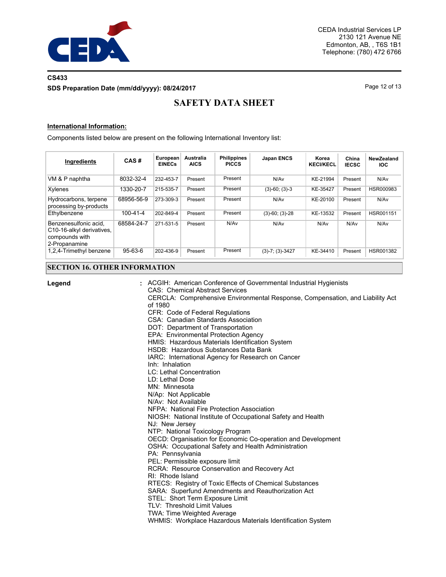

## **CS433 SDS Preparation Date (mm/dd/yyyy): 08/24/2017**

Page 12 of 13

# **SAFETY DATA SHEET**

#### **International Information:**

Components listed below are present on the following International Inventory list:

| Ingredients                                                                           | CAS#           | European<br><b>EINECs</b> | <b>Australia</b><br><b>AICS</b> | <b>Philippines</b><br><b>PICCS</b> | <b>Japan ENCS</b>    | Korea<br><b>KECI/KECL</b> | China<br><b>IECSC</b> | NewZealand<br><b>IOC</b> |
|---------------------------------------------------------------------------------------|----------------|---------------------------|---------------------------------|------------------------------------|----------------------|---------------------------|-----------------------|--------------------------|
| VM & P naphtha                                                                        | 8032-32-4      | 232-453-7                 | Present                         | Present                            | N/Av                 | KE-21994                  | Present               | N/Av                     |
| Xylenes                                                                               | 1330-20-7      | 215-535-7                 | Present                         | Present                            | $(3)-60; (3)-3$      | KE-35427                  | Present               | HSR000983                |
| Hydrocarbons, terpene<br>processing by-products                                       | 68956-56-9     | 273-309-3                 | Present                         | Present                            | N/Av                 | KE-20100                  | Present               | N/Av                     |
| Ethylbenzene                                                                          | $100 - 41 - 4$ | 202-849-4                 | Present                         | Present                            | $(3)-60$ ; $(3)-28$  | KE-13532                  | Present               | HSR001151                |
| Benzenesulfonic acid.<br>C10-16-alkyl derivatives.<br>compounds with<br>2-Propanamine | 68584-24-7     | 271-531-5                 | Present                         | N/Av                               | N/Av                 | N/Av                      | N/Av                  | N/Av                     |
| 1,2,4-Trimethyl benzene                                                               | $95 - 63 - 6$  | 202-436-9                 | Present                         | Present                            | $(3)-7$ ; $(3)-3427$ | KE-34410                  | Present               | HSR001382                |

#### **SECTION 16. OTHER INFORMATION**

#### **Legend :**

ACGIH: American Conference of Governmental Industrial Hygienists

CAS: Chemical Abstract Services

CERCLA: Comprehensive Environmental Response, Compensation, and Liability Act of 1980

CFR: Code of Federal Regulations

CSA: Canadian Standards Association

DOT: Department of Transportation

EPA: Environmental Protection Agency

HMIS: Hazardous Materials Identification System

HSDB: Hazardous Substances Data Bank

IARC: International Agency for Research on Cancer

- Inh: Inhalation
- LC: Lethal Concentration
- LD: Lethal Dose
- MN: Minnesota

N/Ap: Not Applicable

N/Av: Not Available

NFPA: National Fire Protection Association

NIOSH: National Institute of Occupational Safety and Health

NJ: New Jersey

NTP: National Toxicology Program

OECD: Organisation for Economic Co-operation and Development

OSHA: Occupational Safety and Health Administration

- PA: Pennsylvania
- PEL: Permissible exposure limit
- RCRA: Resource Conservation and Recovery Act
- RI: Rhode Island

RTECS: Registry of Toxic Effects of Chemical Substances

SARA: Superfund Amendments and Reauthorization Act

STEL: Short Term Exposure Limit

TLV: Threshold Limit Values

TWA: Time Weighted Average

WHMIS: Workplace Hazardous Materials Identification System